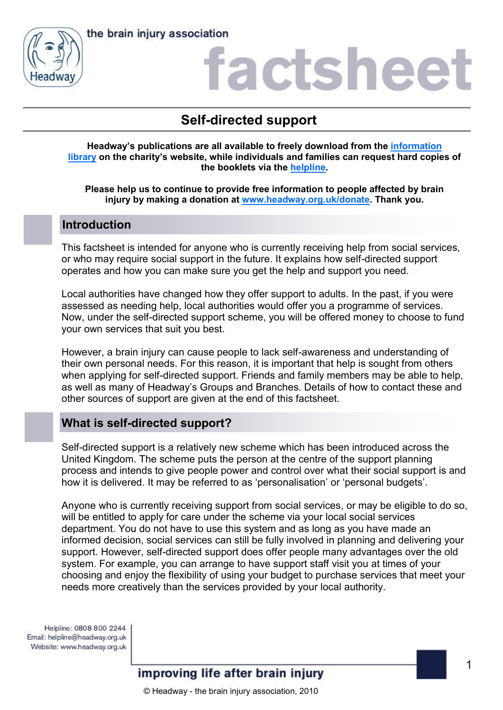



### actshee

### **Self-directed support**

**Headway's publications are all available to freely download from the [information](https://www.headway.org.uk/about-brain-injury/individuals/information-library/)  [library](https://www.headway.org.uk/about-brain-injury/individuals/information-library/) on the charity's website, while individuals and families can request hard copies of the booklets via the [helpline.](https://www.headway.org.uk/supporting-you/helpline/)**

**Please help us to continue to provide free information to people affected by brain injury by making a donation at [www.headway.org.uk/donate.](http://www.headway.org.uk/donate) Thank you.**

### **Introduction**

This factsheet is intended for anyone who is currently receiving help from social services, or who may require social support in the future. It explains how self-directed support operates and how you can make sure you get the help and support you need.

Local authorities have changed how they offer support to adults. In the past, if you were assessed as needing help, local authorities would offer you a programme of services. Now, under the self-directed support scheme, you will be offered money to choose to fund your own services that suit you best.

However, a brain injury can cause people to lack self-awareness and understanding of their own personal needs. For this reason, it is important that help is sought from others when applying for self-directed support. Friends and family members may be able to help, as well as many of Headway's Groups and Branches. Details of how to contact these and other sources of support are given at the end of this factsheet.

### **What is self-directed support?**

Self-directed support is a relatively new scheme which has been introduced across the United Kingdom. The scheme puts the person at the centre of the support planning process and intends to give people power and control over what their social support is and how it is delivered. It may be referred to as 'personalisation' or 'personal budgets'.

Anyone who is currently receiving support from social services, or may be eligible to do so, will be entitled to apply for care under the scheme via your local social services department. You do not have to use this system and as long as you have made an informed decision, social services can still be fully involved in planning and delivering your support. However, self-directed support does offer people many advantages over the old system. For example, you can arrange to have support staff visit you at times of your choosing and enjoy the flexibility of using your budget to purchase services that meet your needs more creatively than the services provided by your local authority.

Helpline: 0808 800 2244 Email: helpline@headway.org.uk Website: www.headway.org.uk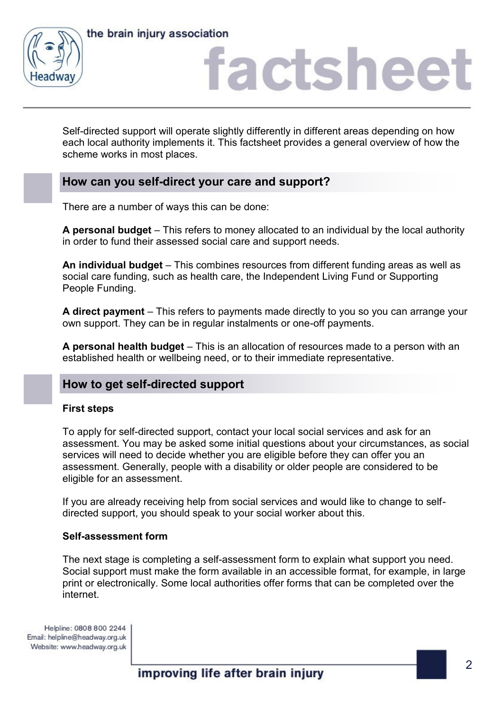



## factshee

Self-directed support will operate slightly differently in different areas depending on how each local authority implements it. This factsheet provides a general overview of how the scheme works in most places.

### **How can you self-direct your care and support?**

There are a number of ways this can be done:

**A personal budget** – This refers to money allocated to an individual by the local authority in order to fund their assessed social care and support needs.

**An individual budget** – This combines resources from different funding areas as well as social care funding, such as health care, the Independent Living Fund or Supporting People Funding.

**A direct payment** – This refers to payments made directly to you so you can arrange your own support. They can be in regular instalments or one-off payments.

**A personal health budget** – This is an allocation of resources made to a person with an established health or wellbeing need, or to their immediate representative.

### **How to get self-directed support**

#### **First steps**

To apply for self-directed support, contact your local social services and ask for an assessment. You may be asked some initial questions about your circumstances, as social services will need to decide whether you are eligible before they can offer you an assessment. Generally, people with a disability or older people are considered to be eligible for an assessment.

If you are already receiving help from social services and would like to change to selfdirected support, you should speak to your social worker about this.

#### **Self-assessment form**

The next stage is completing a self-assessment form to explain what support you need. Social support must make the form available in an accessible format, for example, in large print or electronically. Some local authorities offer forms that can be completed over the internet.

Helpline: 0808 800 2244 Email: helpline@headway.org.uk Website: www.headway.org.uk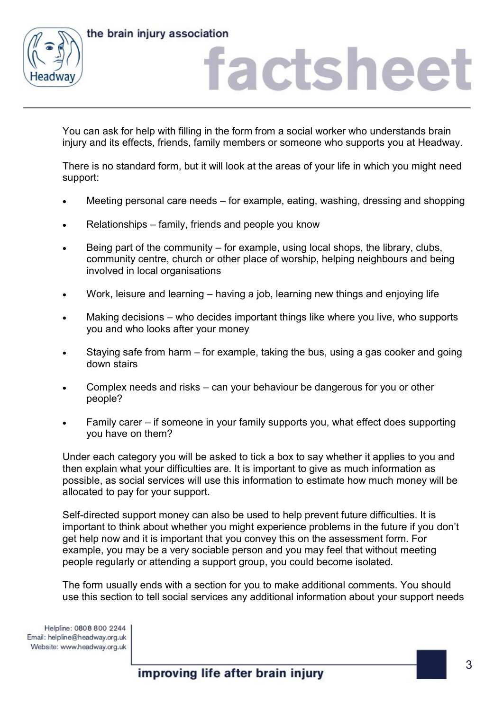



### actshee

You can ask for help with filling in the form from a social worker who understands brain injury and its effects, friends, family members or someone who supports you at Headway.

There is no standard form, but it will look at the areas of your life in which you might need support:

- Meeting personal care needs for example, eating, washing, dressing and shopping
- Relationships family, friends and people you know
- Being part of the community for example, using local shops, the library, clubs, community centre, church or other place of worship, helping neighbours and being involved in local organisations
- Work, leisure and learning having a job, learning new things and enjoying life
- Making decisions who decides important things like where you live, who supports you and who looks after your money
- Staying safe from harm for example, taking the bus, using a gas cooker and going down stairs
- Complex needs and risks can your behaviour be dangerous for you or other people?
- Family carer if someone in your family supports you, what effect does supporting you have on them?

Under each category you will be asked to tick a box to say whether it applies to you and then explain what your difficulties are. It is important to give as much information as possible, as social services will use this information to estimate how much money will be allocated to pay for your support.

Self-directed support money can also be used to help prevent future difficulties. It is important to think about whether you might experience problems in the future if you don't get help now and it is important that you convey this on the assessment form. For example, you may be a very sociable person and you may feel that without meeting people regularly or attending a support group, you could become isolated.

The form usually ends with a section for you to make additional comments. You should use this section to tell social services any additional information about your support needs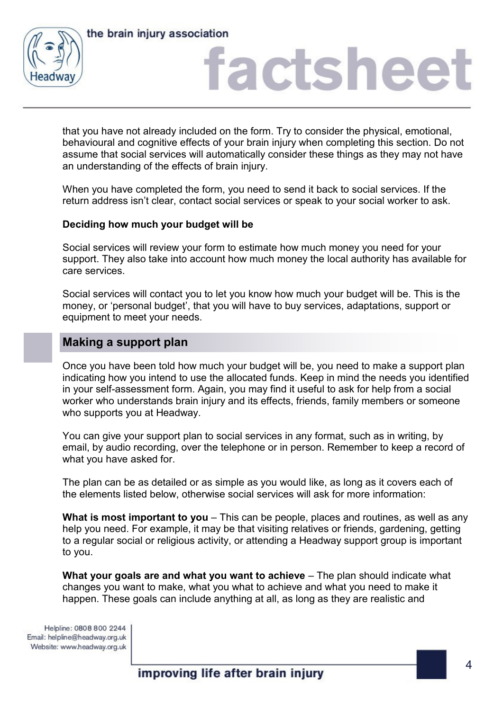

## actshee

that you have not already included on the form. Try to consider the physical, emotional, behavioural and cognitive effects of your brain injury when completing this section. Do not assume that social services will automatically consider these things as they may not have an understanding of the effects of brain injury.

When you have completed the form, you need to send it back to social services. If the return address isn't clear, contact social services or speak to your social worker to ask.

#### **Deciding how much your budget will be**

Social services will review your form to estimate how much money you need for your support. They also take into account how much money the local authority has available for care services.

Social services will contact you to let you know how much your budget will be. This is the money, or 'personal budget', that you will have to buy services, adaptations, support or equipment to meet your needs.

### **Making a support plan**

Once you have been told how much your budget will be, you need to make a support plan indicating how you intend to use the allocated funds. Keep in mind the needs you identified in your self-assessment form. Again, you may find it useful to ask for help from a social worker who understands brain injury and its effects, friends, family members or someone who supports you at Headway.

You can give your support plan to social services in any format, such as in writing, by email, by audio recording, over the telephone or in person. Remember to keep a record of what you have asked for.

The plan can be as detailed or as simple as you would like, as long as it covers each of the elements listed below, otherwise social services will ask for more information:

**What is most important to you** – This can be people, places and routines, as well as any help you need. For example, it may be that visiting relatives or friends, gardening, getting to a regular social or religious activity, or attending a Headway support group is important to you.

**What your goals are and what you want to achieve** – The plan should indicate what changes you want to make, what you what to achieve and what you need to make it happen. These goals can include anything at all, as long as they are realistic and

Helpline: 0808 800 2244 Email: helpline@headway.org.uk Website: www.headway.org.uk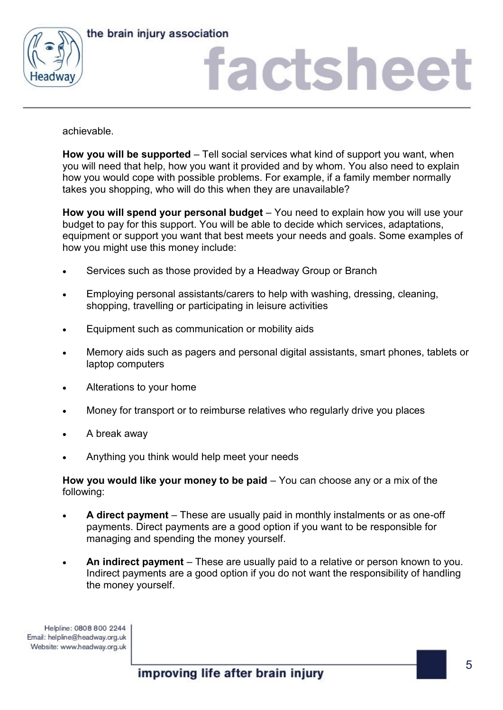

the brain injury association

# actshee

achievable.

**How you will be supported** – Tell social services what kind of support you want, when you will need that help, how you want it provided and by whom. You also need to explain how you would cope with possible problems. For example, if a family member normally takes you shopping, who will do this when they are unavailable?

**How you will spend your personal budget** – You need to explain how you will use your budget to pay for this support. You will be able to decide which services, adaptations, equipment or support you want that best meets your needs and goals. Some examples of how you might use this money include:

- Services such as those provided by a Headway Group or Branch
- Employing personal assistants/carers to help with washing, dressing, cleaning, shopping, travelling or participating in leisure activities
- Equipment such as communication or mobility aids
- Memory aids such as pagers and personal digital assistants, smart phones, tablets or laptop computers
- Alterations to your home
- Money for transport or to reimburse relatives who regularly drive you places
- A break away
- Anything you think would help meet your needs

**How you would like your money to be paid** – You can choose any or a mix of the following:

- **A direct payment**  These are usually paid in monthly instalments or as one-off payments. Direct payments are a good option if you want to be responsible for managing and spending the money yourself.
- An indirect payment These are usually paid to a relative or person known to you. Indirect payments are a good option if you do not want the responsibility of handling the money yourself.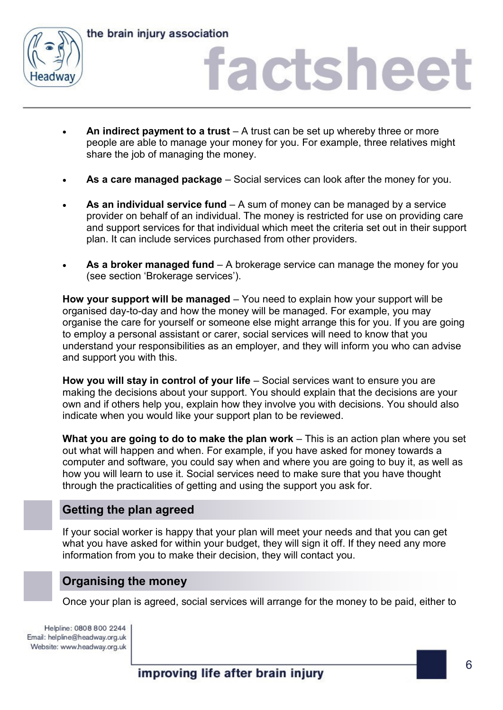



## factsheet

- An indirect payment to a trust A trust can be set up whereby three or more people are able to manage your money for you. For example, three relatives might share the job of managing the money.
- **As a care managed package**  Social services can look after the money for you.
- **As an individual service fund**  A sum of money can be managed by a service provider on behalf of an individual. The money is restricted for use on providing care and support services for that individual which meet the criteria set out in their support plan. It can include services purchased from other providers.
- **As a broker managed fund**  A brokerage service can manage the money for you (see section 'Brokerage services').

**How your support will be managed** – You need to explain how your support will be organised day-to-day and how the money will be managed. For example, you may organise the care for yourself or someone else might arrange this for you. If you are going to employ a personal assistant or carer, social services will need to know that you understand your responsibilities as an employer, and they will inform you who can advise and support you with this.

**How you will stay in control of your life** – Social services want to ensure you are making the decisions about your support. You should explain that the decisions are your own and if others help you, explain how they involve you with decisions. You should also indicate when you would like your support plan to be reviewed.

**What you are going to do to make the plan work** – This is an action plan where you set out what will happen and when. For example, if you have asked for money towards a computer and software, you could say when and where you are going to buy it, as well as how you will learn to use it. Social services need to make sure that you have thought through the practicalities of getting and using the support you ask for.

### **Getting the plan agreed**

If your social worker is happy that your plan will meet your needs and that you can get what you have asked for within your budget, they will sign it off. If they need any more information from you to make their decision, they will contact you.

### **Organising the money**

Once your plan is agreed, social services will arrange for the money to be paid, either to

Helpline: 0808 800 2244 Email: helpline@headway.org.uk Website: www.headway.org.uk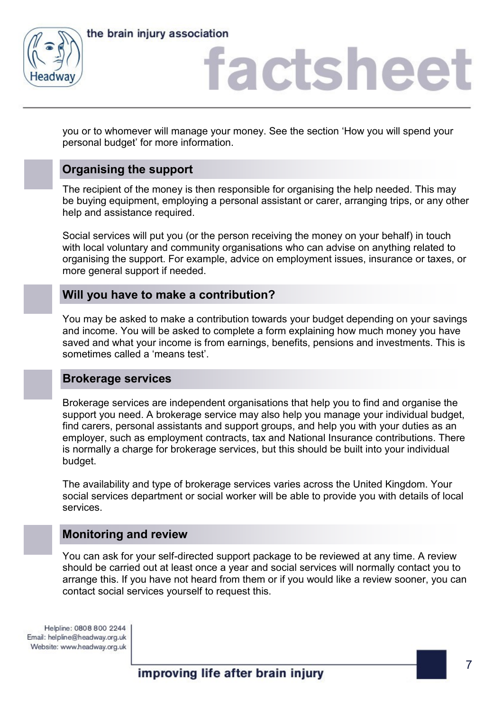



## factsheet

you or to whomever will manage your money. See the section 'How you will spend your personal budget' for more information.

### **Organising the support**

The recipient of the money is then responsible for organising the help needed. This may be buying equipment, employing a personal assistant or carer, arranging trips, or any other help and assistance required.

Social services will put you (or the person receiving the money on your behalf) in touch with local voluntary and community organisations who can advise on anything related to organising the support. For example, advice on employment issues, insurance or taxes, or more general support if needed.

### **Will you have to make a contribution?**

You may be asked to make a contribution towards your budget depending on your savings and income. You will be asked to complete a form explaining how much money you have saved and what your income is from earnings, benefits, pensions and investments. This is sometimes called a 'means test'.

#### **Brokerage services**

Brokerage services are independent organisations that help you to find and organise the support you need. A brokerage service may also help you manage your individual budget, find carers, personal assistants and support groups, and help you with your duties as an employer, such as employment contracts, tax and National Insurance contributions. There is normally a charge for brokerage services, but this should be built into your individual budget.

The availability and type of brokerage services varies across the United Kingdom. Your social services department or social worker will be able to provide you with details of local services.

### **Monitoring and review**

You can ask for your self-directed support package to be reviewed at any time. A review should be carried out at least once a year and social services will normally contact you to arrange this. If you have not heard from them or if you would like a review sooner, you can contact social services yourself to request this.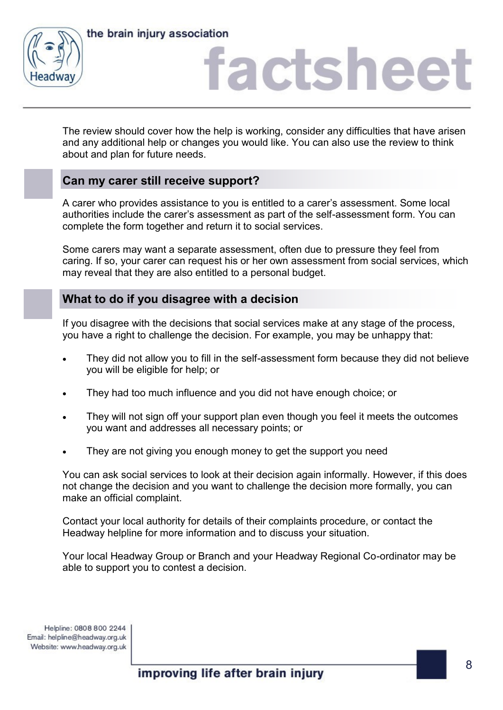



## factshee

The review should cover how the help is working, consider any difficulties that have arisen and any additional help or changes you would like. You can also use the review to think about and plan for future needs.

### **Can my carer still receive support?**

A carer who provides assistance to you is entitled to a carer's assessment. Some local authorities include the carer's assessment as part of the self-assessment form. You can complete the form together and return it to social services.

Some carers may want a separate assessment, often due to pressure they feel from caring. If so, your carer can request his or her own assessment from social services, which may reveal that they are also entitled to a personal budget.

### **What to do if you disagree with a decision**

If you disagree with the decisions that social services make at any stage of the process, you have a right to challenge the decision. For example, you may be unhappy that:

- They did not allow you to fill in the self-assessment form because they did not believe you will be eligible for help; or
- They had too much influence and you did not have enough choice; or
- They will not sign off your support plan even though you feel it meets the outcomes you want and addresses all necessary points; or
- They are not giving you enough money to get the support you need

You can ask social services to look at their decision again informally. However, if this does not change the decision and you want to challenge the decision more formally, you can make an official complaint.

Contact your local authority for details of their complaints procedure, or contact the Headway helpline for more information and to discuss your situation.

Your local Headway Group or Branch and your Headway Regional Co-ordinator may be able to support you to contest a decision.